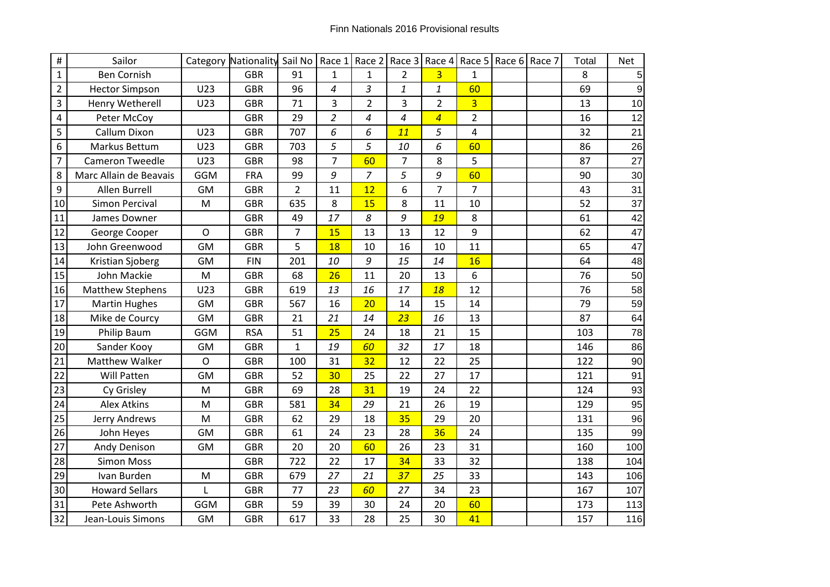| $\#$           | Sailor                  |              | Category Nationality Sail No |                | Race 1         | Race 2         |                | Race 3 Race 4  |                | Race 5 Race 6 Race 7 | Total | <b>Net</b> |
|----------------|-------------------------|--------------|------------------------------|----------------|----------------|----------------|----------------|----------------|----------------|----------------------|-------|------------|
| $\mathbf{1}$   | <b>Ben Cornish</b>      |              | <b>GBR</b>                   | 91             | $\mathbf 1$    | $\mathbf{1}$   | $\overline{2}$ | $\overline{3}$ | $\mathbf 1$    |                      | 8     | 5          |
| $\overline{2}$ | <b>Hector Simpson</b>   | U23          | <b>GBR</b>                   | 96             | 4              | 3              | $\mathbf{1}$   | 1              | 60             |                      | 69    | 9          |
| 3              | Henry Wetherell         | U23          | <b>GBR</b>                   | 71             | 3              | $\overline{2}$ | 3              | $\overline{2}$ | $\overline{3}$ |                      | 13    | 10         |
| 4              | Peter McCoy             |              | <b>GBR</b>                   | 29             | $\overline{c}$ | 4              | 4              | $\overline{4}$ | $\overline{2}$ |                      | 16    | 12         |
| 5              | Callum Dixon            | U23          | <b>GBR</b>                   | 707            | 6              | 6              | 11             | 5              | 4              |                      | 32    | 21         |
| 6              | Markus Bettum           | U23          | <b>GBR</b>                   | 703            | 5              | 5              | 10             | 6              | 60             |                      | 86    | 26         |
| $\overline{7}$ | <b>Cameron Tweedle</b>  | U23          | <b>GBR</b>                   | 98             | $\overline{7}$ | 60             | $\overline{7}$ | 8              | 5              |                      | 87    | 27         |
| 8              | Marc Allain de Beavais  | GGM          | <b>FRA</b>                   | 99             | 9              | $\overline{7}$ | 5              | 9              | 60             |                      | 90    | 30         |
| 9              | Allen Burrell           | <b>GM</b>    | <b>GBR</b>                   | $\overline{2}$ | 11             | 12             | 6              | $\overline{7}$ | $\overline{7}$ |                      | 43    | 31         |
| 10             | Simon Percival          | M            | <b>GBR</b>                   | 635            | 8              | 15             | 8              | 11             | 10             |                      | 52    | 37         |
| 11             | James Downer            |              | <b>GBR</b>                   | 49             | 17             | 8              | 9              | 19             | 8              |                      | 61    | 42         |
| 12             | George Cooper           | $\mathsf{O}$ | <b>GBR</b>                   | 7              | 15             | 13             | 13             | 12             | 9              |                      | 62    | 47         |
| 13             | John Greenwood          | <b>GM</b>    | <b>GBR</b>                   | 5              | 18             | 10             | 16             | 10             | 11             |                      | 65    | 47         |
| 14             | Kristian Sjoberg        | <b>GM</b>    | <b>FIN</b>                   | 201            | 10             | 9              | 15             | 14             | 16             |                      | 64    | 48         |
| 15             | John Mackie             | M            | <b>GBR</b>                   | 68             | 26             | 11             | 20             | 13             | 6              |                      | 76    | 50         |
| 16             | <b>Matthew Stephens</b> | U23          | <b>GBR</b>                   | 619            | 13             | 16             | 17             | 18             | 12             |                      | 76    | 58         |
| 17             | <b>Martin Hughes</b>    | <b>GM</b>    | <b>GBR</b>                   | 567            | 16             | 20             | 14             | 15             | 14             |                      | 79    | 59         |
| 18             | Mike de Courcy          | <b>GM</b>    | <b>GBR</b>                   | 21             | 21             | 14             | 23             | 16             | 13             |                      | 87    | 64         |
| 19             | Philip Baum             | <b>GGM</b>   | <b>RSA</b>                   | 51             | 25             | 24             | 18             | 21             | 15             |                      | 103   | 78         |
| 20             | Sander Kooy             | <b>GM</b>    | <b>GBR</b>                   | $\mathbf{1}$   | 19             | 60             | 32             | 17             | 18             |                      | 146   | 86         |
| 21             | Matthew Walker          | $\Omega$     | <b>GBR</b>                   | 100            | 31             | 32             | 12             | 22             | 25             |                      | 122   | 90         |
| 22             | <b>Will Patten</b>      | <b>GM</b>    | <b>GBR</b>                   | 52             | 30             | 25             | 22             | 27             | 17             |                      | 121   | 91         |
| 23             | Cy Grisley              | M            | <b>GBR</b>                   | 69             | 28             | 31             | 19             | 24             | 22             |                      | 124   | 93         |
| 24             | <b>Alex Atkins</b>      | M            | <b>GBR</b>                   | 581            | 34             | 29             | 21             | 26             | 19             |                      | 129   | 95         |
| 25             | Jerry Andrews           | M            | <b>GBR</b>                   | 62             | 29             | 18             | 35             | 29             | 20             |                      | 131   | 96         |
| 26             | John Heyes              | <b>GM</b>    | <b>GBR</b>                   | 61             | 24             | 23             | 28             | 36             | 24             |                      | 135   | 99         |
| 27             | Andy Denison            | GM           | <b>GBR</b>                   | 20             | 20             | 60             | 26             | 23             | 31             |                      | 160   | 100        |
| 28             | <b>Simon Moss</b>       |              | <b>GBR</b>                   | 722            | 22             | 17             | 34             | 33             | 32             |                      | 138   | 104        |
| 29             | Ivan Burden             | M            | <b>GBR</b>                   | 679            | 27             | 21             | 37             | 25             | 33             |                      | 143   | 106        |
| 30             | <b>Howard Sellars</b>   | L            | <b>GBR</b>                   | 77             | 23             | 60             | 27             | 34             | 23             |                      | 167   | 107        |
| 31             | Pete Ashworth           | <b>GGM</b>   | <b>GBR</b>                   | 59             | 39             | 30             | 24             | 20             | 60             |                      | 173   | 113        |
| 32             | Jean-Louis Simons       | GM           | <b>GBR</b>                   | 617            | 33             | 28             | 25             | 30             | 41             |                      | 157   | 116        |